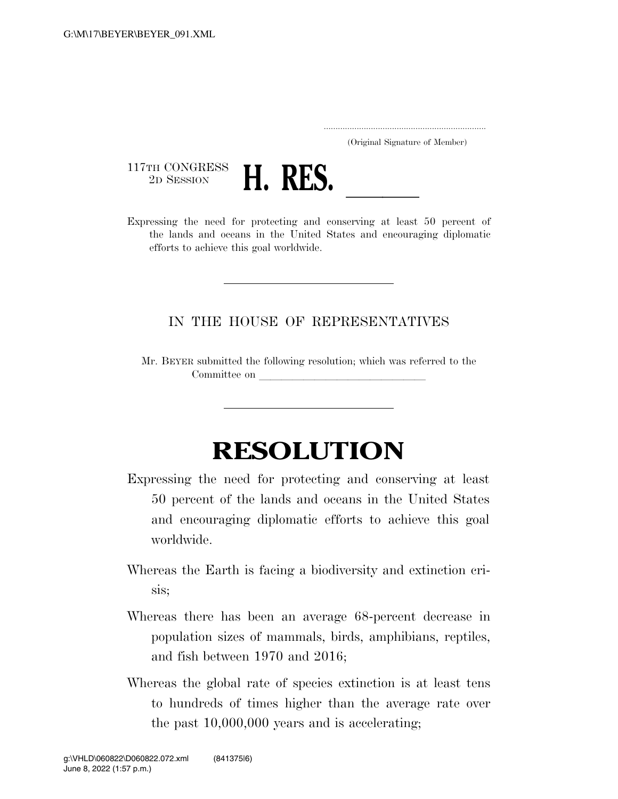..................................................................... (Original Signature of Member)

117TH CONGRESS<br>2D SESSION



2D SESSION **H. KES.** <u>In the second of the need for protecting and conserving at least 50 percent of</u> the lands and oceans in the United States and encouraging diplomatic efforts to achieve this goal worldwide.

## IN THE HOUSE OF REPRESENTATIVES

Mr. BEYER submitted the following resolution; which was referred to the Committee on

## **RESOLUTION**

- Expressing the need for protecting and conserving at least 50 percent of the lands and oceans in the United States and encouraging diplomatic efforts to achieve this goal worldwide.
- Whereas the Earth is facing a biodiversity and extinction crisis;
- Whereas there has been an average 68-percent decrease in population sizes of mammals, birds, amphibians, reptiles, and fish between 1970 and 2016;
- Whereas the global rate of species extinction is at least tens to hundreds of times higher than the average rate over the past 10,000,000 years and is accelerating;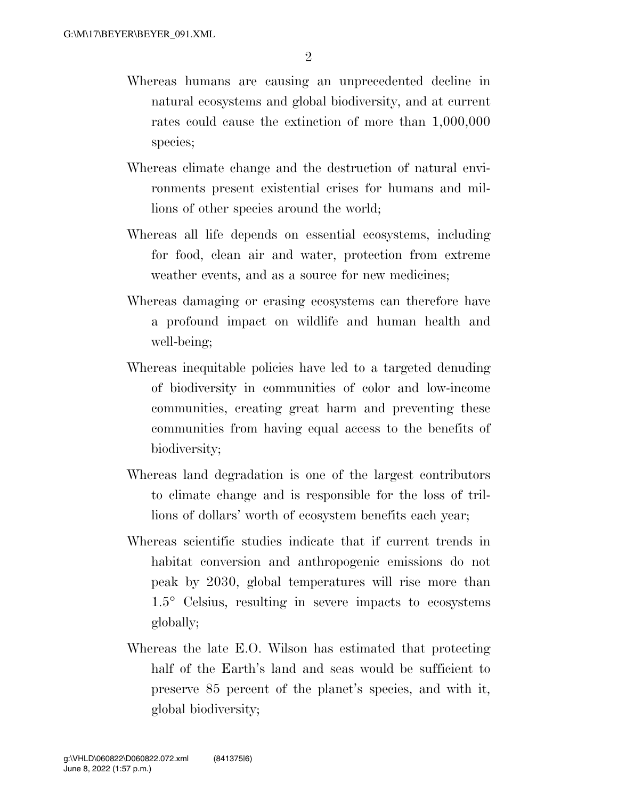- Whereas humans are causing an unprecedented decline in natural ecosystems and global biodiversity, and at current rates could cause the extinction of more than 1,000,000 species;
- Whereas climate change and the destruction of natural environments present existential crises for humans and millions of other species around the world;
- Whereas all life depends on essential ecosystems, including for food, clean air and water, protection from extreme weather events, and as a source for new medicines;
- Whereas damaging or erasing ecosystems can therefore have a profound impact on wildlife and human health and well-being;
- Whereas inequitable policies have led to a targeted denuding of biodiversity in communities of color and low-income communities, creating great harm and preventing these communities from having equal access to the benefits of biodiversity;
- Whereas land degradation is one of the largest contributors to climate change and is responsible for the loss of trillions of dollars' worth of ecosystem benefits each year;
- Whereas scientific studies indicate that if current trends in habitat conversion and anthropogenic emissions do not peak by 2030, global temperatures will rise more than 1.5° Celsius, resulting in severe impacts to ecosystems globally;
- Whereas the late E.O. Wilson has estimated that protecting half of the Earth's land and seas would be sufficient to preserve 85 percent of the planet's species, and with it, global biodiversity;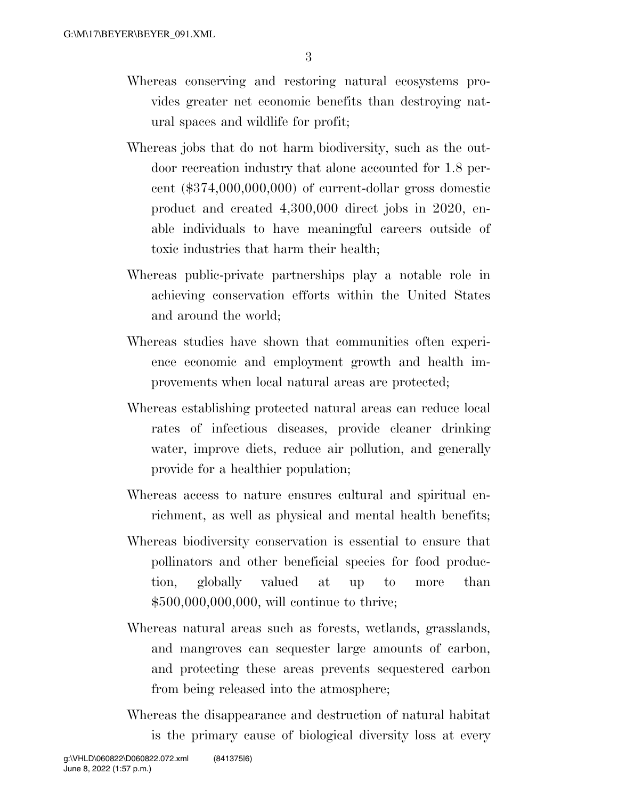- Whereas conserving and restoring natural ecosystems provides greater net economic benefits than destroying natural spaces and wildlife for profit;
- Whereas jobs that do not harm biodiversity, such as the outdoor recreation industry that alone accounted for 1.8 percent (\$374,000,000,000) of current-dollar gross domestic product and created 4,300,000 direct jobs in 2020, enable individuals to have meaningful careers outside of toxic industries that harm their health;
- Whereas public-private partnerships play a notable role in achieving conservation efforts within the United States and around the world;
- Whereas studies have shown that communities often experience economic and employment growth and health improvements when local natural areas are protected;
- Whereas establishing protected natural areas can reduce local rates of infectious diseases, provide cleaner drinking water, improve diets, reduce air pollution, and generally provide for a healthier population;
- Whereas access to nature ensures cultural and spiritual enrichment, as well as physical and mental health benefits;
- Whereas biodiversity conservation is essential to ensure that pollinators and other beneficial species for food production, globally valued at up to more than \$500,000,000,000, will continue to thrive;
- Whereas natural areas such as forests, wetlands, grasslands, and mangroves can sequester large amounts of carbon, and protecting these areas prevents sequestered carbon from being released into the atmosphere;
- Whereas the disappearance and destruction of natural habitat is the primary cause of biological diversity loss at every